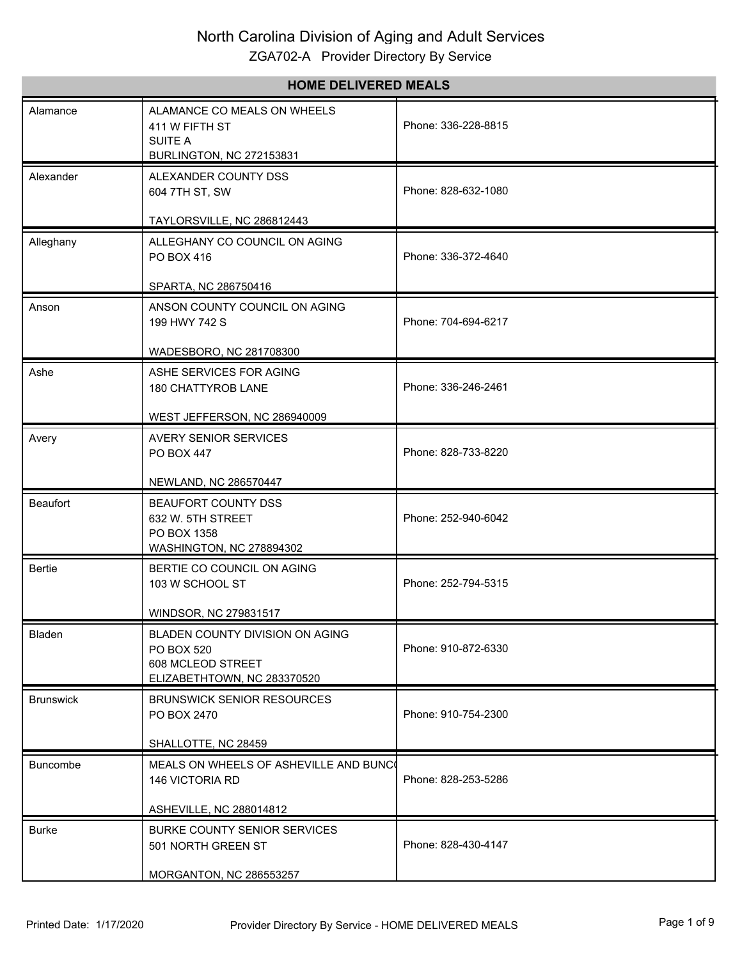| <b>HOME DELIVERED MEALS</b> |                                                                                                   |                     |
|-----------------------------|---------------------------------------------------------------------------------------------------|---------------------|
| Alamance                    | ALAMANCE CO MEALS ON WHEELS<br>411 W FIFTH ST<br><b>SUITE A</b><br>BURLINGTON, NC 272153831       | Phone: 336-228-8815 |
| Alexander                   | ALEXANDER COUNTY DSS<br>604 7TH ST, SW<br>TAYLORSVILLE, NC 286812443                              | Phone: 828-632-1080 |
| Alleghany                   | ALLEGHANY CO COUNCIL ON AGING<br>PO BOX 416<br>SPARTA, NC 286750416                               | Phone: 336-372-4640 |
| Anson                       | ANSON COUNTY COUNCIL ON AGING<br>199 HWY 742 S<br>WADESBORO, NC 281708300                         | Phone: 704-694-6217 |
| Ashe                        | ASHE SERVICES FOR AGING<br>180 CHATTYROB LANE<br>WEST JEFFERSON, NC 286940009                     | Phone: 336-246-2461 |
| Avery                       | <b>AVERY SENIOR SERVICES</b><br><b>PO BOX 447</b><br>NEWLAND, NC 286570447                        | Phone: 828-733-8220 |
| Beaufort                    | BEAUFORT COUNTY DSS<br>632 W. 5TH STREET<br>PO BOX 1358<br>WASHINGTON, NC 278894302               | Phone: 252-940-6042 |
| Bertie                      | BERTIE CO COUNCIL ON AGING<br>103 W SCHOOL ST<br>WINDSOR, NC 279831517                            | Phone: 252-794-5315 |
| Bladen                      | BLADEN COUNTY DIVISION ON AGING<br>PO BOX 520<br>608 MCLEOD STREET<br>ELIZABETHTOWN, NC 283370520 | Phone: 910-872-6330 |
| <b>Brunswick</b>            | <b>BRUNSWICK SENIOR RESOURCES</b><br>PO BOX 2470<br>SHALLOTTE, NC 28459                           | Phone: 910-754-2300 |
| <b>Buncombe</b>             | MEALS ON WHEELS OF ASHEVILLE AND BUNC<br>146 VICTORIA RD<br>ASHEVILLE, NC 288014812               | Phone: 828-253-5286 |
| <b>Burke</b>                | BURKE COUNTY SENIOR SERVICES<br>501 NORTH GREEN ST<br>MORGANTON, NC 286553257                     | Phone: 828-430-4147 |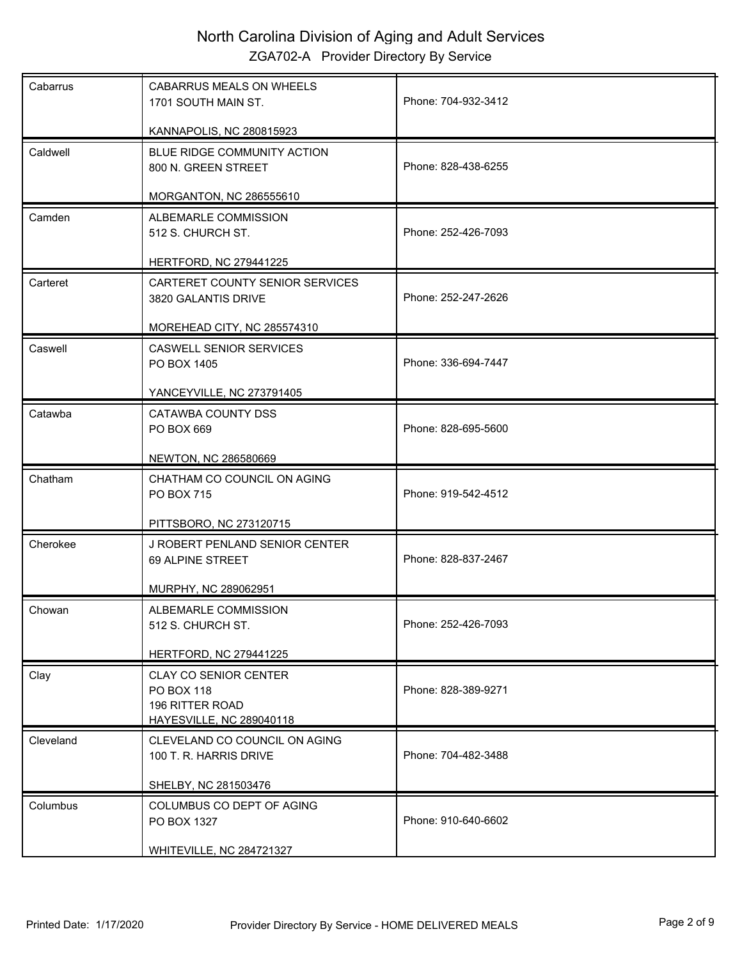| Cabarrus  | CABARRUS MEALS ON WHEELS<br>1701 SOUTH MAIN ST.                                           | Phone: 704-932-3412 |
|-----------|-------------------------------------------------------------------------------------------|---------------------|
|           | KANNAPOLIS, NC 280815923                                                                  |                     |
| Caldwell  | BLUE RIDGE COMMUNITY ACTION<br>800 N. GREEN STREET                                        | Phone: 828-438-6255 |
|           | MORGANTON, NC 286555610                                                                   |                     |
| Camden    | ALBEMARLE COMMISSION<br>512 S. CHURCH ST.                                                 | Phone: 252-426-7093 |
|           | HERTFORD, NC 279441225                                                                    |                     |
| Carteret  | CARTERET COUNTY SENIOR SERVICES<br>3820 GALANTIS DRIVE                                    | Phone: 252-247-2626 |
|           | MOREHEAD CITY, NC 285574310                                                               |                     |
| Caswell   | <b>CASWELL SENIOR SERVICES</b><br>PO BOX 1405                                             | Phone: 336-694-7447 |
|           | YANCEYVILLE, NC 273791405                                                                 |                     |
| Catawba   | CATAWBA COUNTY DSS<br>PO BOX 669                                                          | Phone: 828-695-5600 |
|           | NEWTON, NC 286580669                                                                      |                     |
| Chatham   | CHATHAM CO COUNCIL ON AGING                                                               |                     |
|           | PO BOX 715                                                                                | Phone: 919-542-4512 |
|           | PITTSBORO, NC 273120715                                                                   |                     |
| Cherokee  | J ROBERT PENLAND SENIOR CENTER<br>69 ALPINE STREET                                        | Phone: 828-837-2467 |
|           | MURPHY, NC 289062951                                                                      |                     |
| Chowan    | ALBEMARLE COMMISSION<br>512 S. CHURCH ST.                                                 | Phone: 252-426-7093 |
|           | <b>HERTFORD, NC 279441225</b>                                                             |                     |
| Clay      | <b>CLAY CO SENIOR CENTER</b><br>PO BOX 118<br>196 RITTER ROAD<br>HAYESVILLE, NC 289040118 | Phone: 828-389-9271 |
| Cleveland | CLEVELAND CO COUNCIL ON AGING                                                             |                     |
|           | 100 T. R. HARRIS DRIVE                                                                    | Phone: 704-482-3488 |
|           |                                                                                           |                     |
|           | SHELBY, NC 281503476                                                                      |                     |
| Columbus  | COLUMBUS CO DEPT OF AGING<br>PO BOX 1327                                                  | Phone: 910-640-6602 |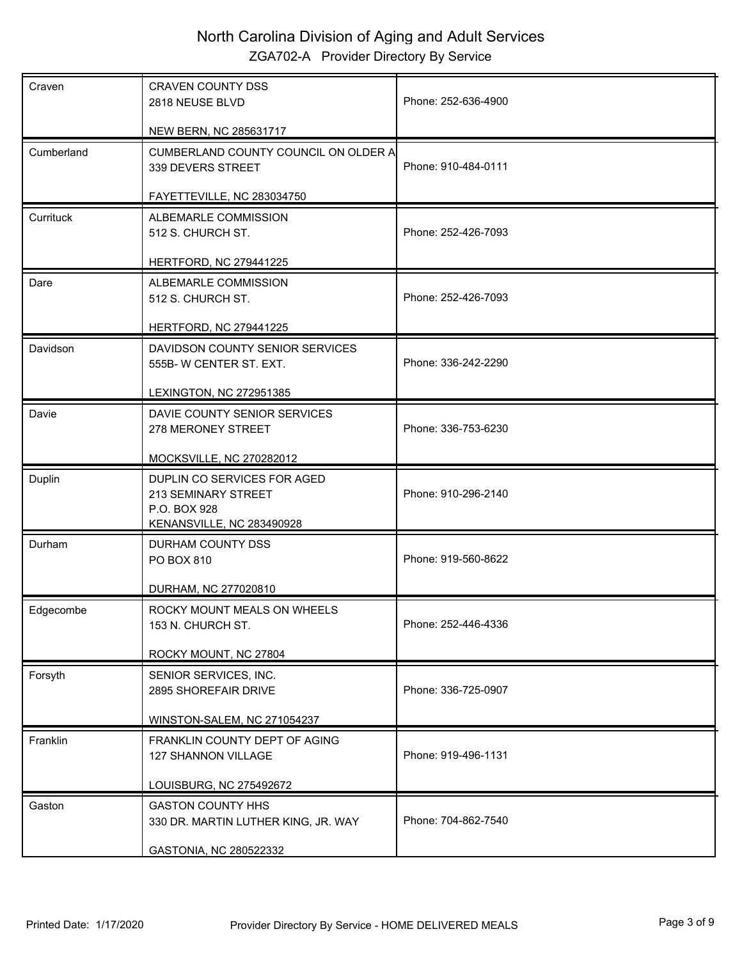| Craven     | <b>CRAVEN COUNTY DSS</b><br>2818 NEUSE BLVD                                                     | Phone: 252-636-4900 |
|------------|-------------------------------------------------------------------------------------------------|---------------------|
|            | NEW BERN, NC 285631717                                                                          |                     |
| Cumberland | CUMBERLAND COUNTY COUNCIL ON OLDER A<br>339 DEVERS STREET                                       | Phone: 910-484-0111 |
|            | FAYETTEVILLE, NC 283034750                                                                      |                     |
| Currituck  | ALBEMARLE COMMISSION<br>512 S. CHURCH ST.                                                       | Phone: 252-426-7093 |
|            | <b>HERTFORD, NC 279441225</b>                                                                   |                     |
| Dare       | ALBEMARLE COMMISSION<br>512 S. CHURCH ST.                                                       | Phone: 252-426-7093 |
|            | <b>HERTFORD, NC 279441225</b>                                                                   |                     |
| Davidson   | DAVIDSON COUNTY SENIOR SERVICES<br>555B-W CENTER ST. EXT.                                       | Phone: 336-242-2290 |
|            | <b>LEXINGTON, NC 272951385</b>                                                                  |                     |
| Davie      | DAVIE COUNTY SENIOR SERVICES<br>278 MERONEY STREET                                              | Phone: 336-753-6230 |
|            | MOCKSVILLE, NC 270282012                                                                        |                     |
| Duplin     | DUPLIN CO SERVICES FOR AGED<br>213 SEMINARY STREET<br>P.O. BOX 928<br>KENANSVILLE, NC 283490928 | Phone: 910-296-2140 |
| Durham     | DURHAM COUNTY DSS<br>PO BOX 810                                                                 | Phone: 919-560-8622 |
|            | DURHAM, NC 277020810                                                                            |                     |
| Edgecombe  | ROCKY MOUNT MEALS ON WHEELS<br>153 N. CHURCH ST.                                                | Phone: 252-446-4336 |
|            | ROCKY MOUNT, NC 27804                                                                           |                     |
| Forsyth    | SENIOR SERVICES, INC.<br>2895 SHOREFAIR DRIVE                                                   | Phone: 336-725-0907 |
|            | WINSTON-SALEM, NC 271054237                                                                     |                     |
| Franklin   | FRANKLIN COUNTY DEPT OF AGING<br>127 SHANNON VILLAGE                                            | Phone: 919-496-1131 |
|            | LOUISBURG, NC 275492672                                                                         |                     |
| Gaston     | <b>GASTON COUNTY HHS</b><br>330 DR. MARTIN LUTHER KING, JR. WAY                                 | Phone: 704-862-7540 |
|            | GASTONIA, NC 280522332                                                                          |                     |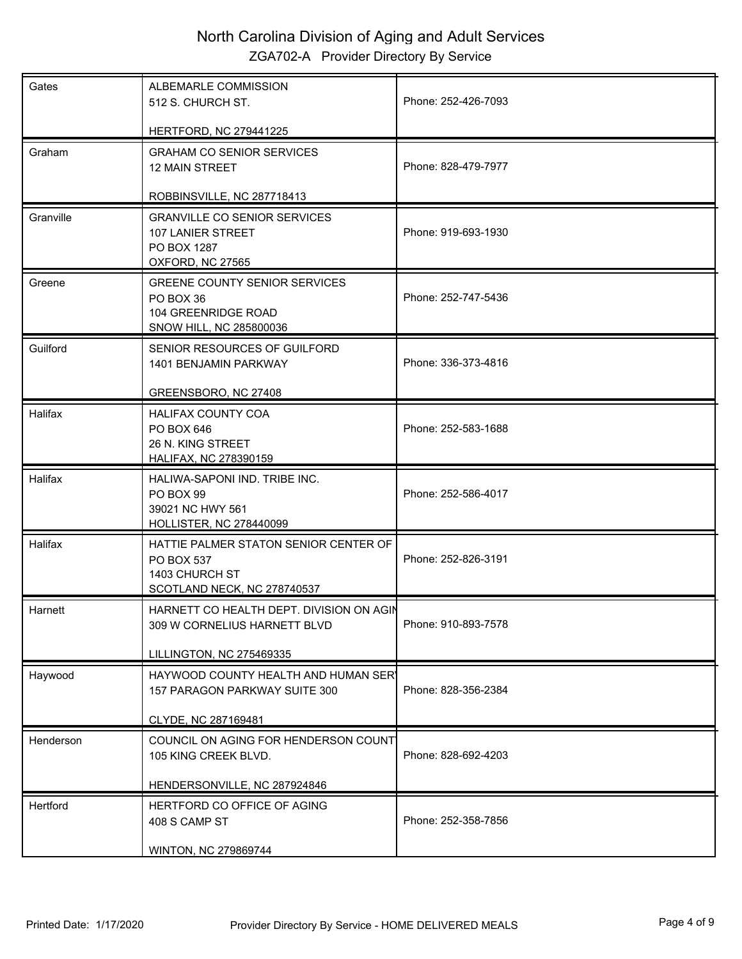| ALBEMARLE COMMISSION<br>512 S. CHURCH ST.                                                            | Phone: 252-426-7093                                                                                                  |
|------------------------------------------------------------------------------------------------------|----------------------------------------------------------------------------------------------------------------------|
|                                                                                                      |                                                                                                                      |
| <b>GRAHAM CO SENIOR SERVICES</b><br><b>12 MAIN STREET</b>                                            | Phone: 828-479-7977                                                                                                  |
| ROBBINSVILLE, NC 287718413                                                                           |                                                                                                                      |
| <b>GRANVILLE CO SENIOR SERVICES</b><br>107 LANIER STREET<br>PO BOX 1287<br>OXFORD, NC 27565          | Phone: 919-693-1930                                                                                                  |
| <b>GREENE COUNTY SENIOR SERVICES</b><br>PO BOX 36<br>104 GREENRIDGE ROAD<br>SNOW HILL, NC 285800036  | Phone: 252-747-5436                                                                                                  |
| SENIOR RESOURCES OF GUILFORD<br>1401 BENJAMIN PARKWAY                                                | Phone: 336-373-4816                                                                                                  |
|                                                                                                      |                                                                                                                      |
| <b>HALIFAX COUNTY COA</b><br>PO BOX 646<br>26 N. KING STREET<br><b>HALIFAX, NC 278390159</b>         | Phone: 252-583-1688                                                                                                  |
| HALIWA-SAPONI IND. TRIBE INC.<br>PO BOX 99<br>39021 NC HWY 561<br>HOLLISTER, NC 278440099            | Phone: 252-586-4017                                                                                                  |
| HATTIE PALMER STATON SENIOR CENTER OF<br>PO BOX 537<br>1403 CHURCH ST<br>SCOTLAND NECK, NC 278740537 | Phone: 252-826-3191                                                                                                  |
| HARNETT CO HEALTH DEPT. DIVISION ON AGIN<br>309 W CORNELIUS HARNETT BLVD<br>LILLINGTON, NC 275469335 | Phone: 910-893-7578                                                                                                  |
| HAYWOOD COUNTY HEALTH AND HUMAN SERY<br>157 PARAGON PARKWAY SUITE 300                                | Phone: 828-356-2384                                                                                                  |
| CLYDE, NC 287169481                                                                                  |                                                                                                                      |
| COUNCIL ON AGING FOR HENDERSON COUNT<br>105 KING CREEK BLVD.                                         | Phone: 828-692-4203                                                                                                  |
|                                                                                                      |                                                                                                                      |
| HERTFORD CO OFFICE OF AGING<br>408 S CAMP ST                                                         | Phone: 252-358-7856                                                                                                  |
|                                                                                                      | <b>HERTFORD, NC 279441225</b><br>GREENSBORO, NC 27408<br>HENDERSONVILLE, NC 287924846<br><b>WINTON, NC 279869744</b> |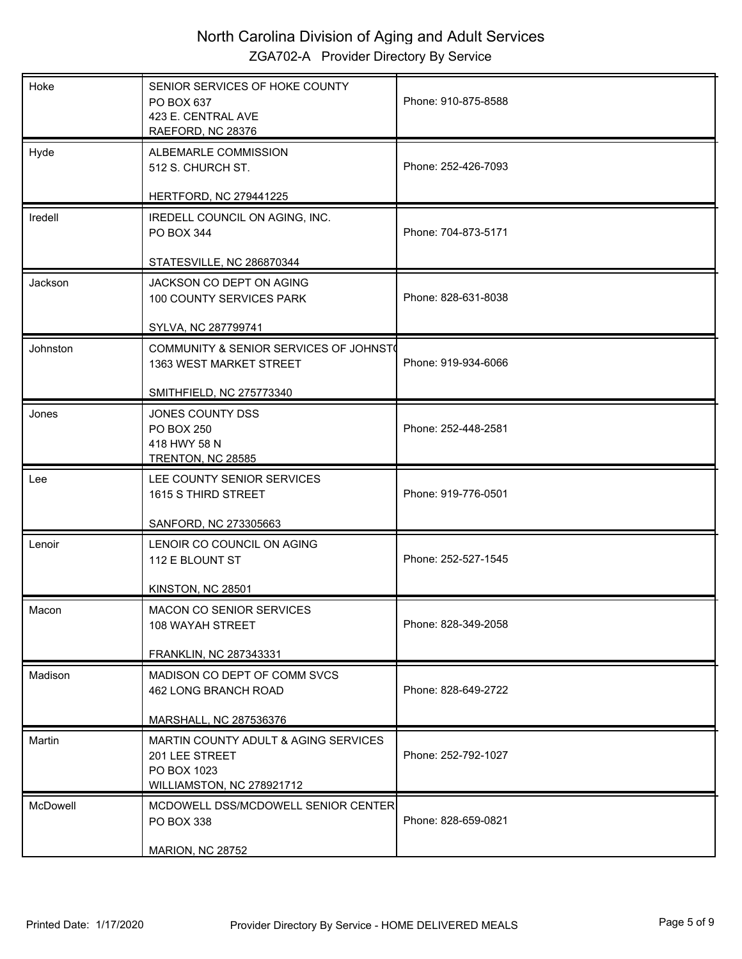| SENIOR SERVICES OF HOKE COUNTY<br>PO BOX 637<br>423 E. CENTRAL AVE<br>RAEFORD, NC 28376            | Phone: 910-875-8588                                                                                                                  |
|----------------------------------------------------------------------------------------------------|--------------------------------------------------------------------------------------------------------------------------------------|
| ALBEMARLE COMMISSION<br>512 S. CHURCH ST.                                                          | Phone: 252-426-7093                                                                                                                  |
|                                                                                                    |                                                                                                                                      |
| IREDELL COUNCIL ON AGING, INC.<br>PO BOX 344                                                       | Phone: 704-873-5171                                                                                                                  |
| STATESVILLE, NC 286870344                                                                          |                                                                                                                                      |
| JACKSON CO DEPT ON AGING<br>100 COUNTY SERVICES PARK                                               | Phone: 828-631-8038                                                                                                                  |
| SYLVA, NC 287799741                                                                                |                                                                                                                                      |
| COMMUNITY & SENIOR SERVICES OF JOHNST<br>1363 WEST MARKET STREET                                   | Phone: 919-934-6066                                                                                                                  |
| SMITHFIELD, NC 275773340                                                                           |                                                                                                                                      |
| JONES COUNTY DSS<br>PO BOX 250<br>418 HWY 58 N                                                     | Phone: 252-448-2581                                                                                                                  |
| LEE COUNTY SENIOR SERVICES<br>1615 S THIRD STREET                                                  | Phone: 919-776-0501                                                                                                                  |
|                                                                                                    |                                                                                                                                      |
|                                                                                                    |                                                                                                                                      |
| 112 E BLOUNT ST                                                                                    | Phone: 252-527-1545                                                                                                                  |
| KINSTON, NC 28501                                                                                  |                                                                                                                                      |
| MACON CO SENIOR SERVICES<br>108 WAYAH STREET                                                       | Phone: 828-349-2058                                                                                                                  |
| FRANKLIN, NC 287343331                                                                             |                                                                                                                                      |
| MADISON CO DEPT OF COMM SVCS<br>462 LONG BRANCH ROAD                                               | Phone: 828-649-2722                                                                                                                  |
| MARSHALL, NC 287536376                                                                             |                                                                                                                                      |
| MARTIN COUNTY ADULT & AGING SERVICES<br>201 LEE STREET<br>PO BOX 1023<br>WILLIAMSTON, NC 278921712 | Phone: 252-792-1027                                                                                                                  |
| MCDOWELL DSS/MCDOWELL SENIOR CENTER<br>PO BOX 338                                                  | Phone: 828-659-0821                                                                                                                  |
|                                                                                                    | <b>HERTFORD, NC 279441225</b><br>TRENTON, NC 28585<br>SANFORD, NC 273305663<br>LENOIR CO COUNCIL ON AGING<br><b>MARION, NC 28752</b> |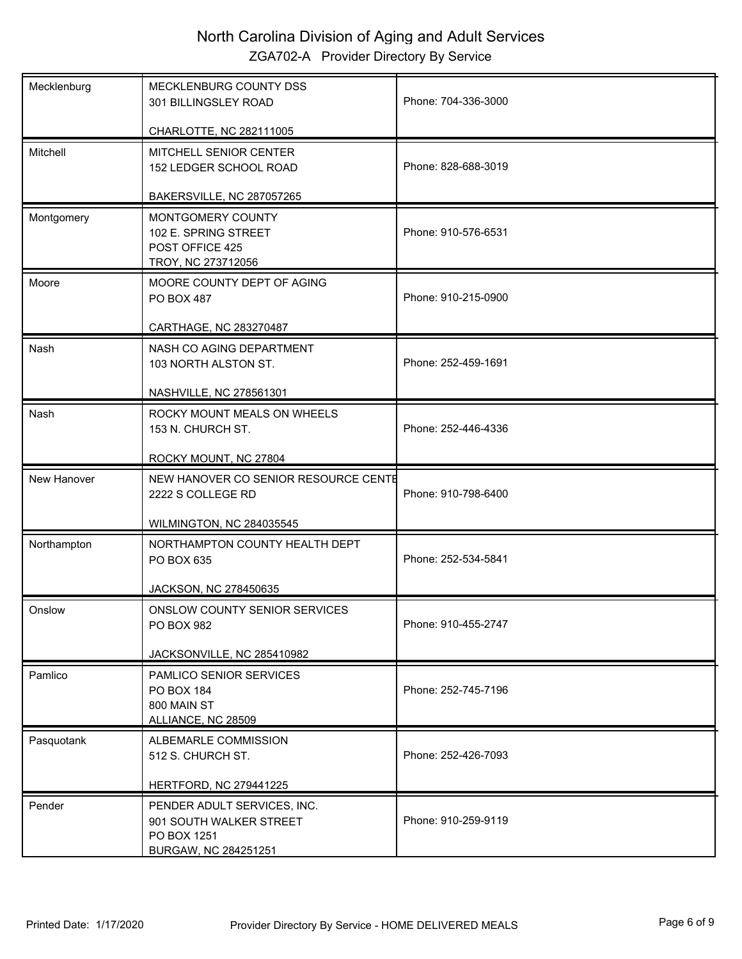| Mecklenburg | MECKLENBURG COUNTY DSS<br>301 BILLINGSLEY ROAD                                     | Phone: 704-336-3000 |
|-------------|------------------------------------------------------------------------------------|---------------------|
|             | CHARLOTTE, NC 282111005                                                            |                     |
| Mitchell    | MITCHELL SENIOR CENTER<br>152 LEDGER SCHOOL ROAD                                   | Phone: 828-688-3019 |
|             | BAKERSVILLE, NC 287057265                                                          |                     |
| Montgomery  | MONTGOMERY COUNTY<br>102 E. SPRING STREET<br>POST OFFICE 425<br>TROY, NC 273712056 | Phone: 910-576-6531 |
| Moore       | MOORE COUNTY DEPT OF AGING<br><b>PO BOX 487</b>                                    | Phone: 910-215-0900 |
|             | CARTHAGE, NC 283270487                                                             |                     |
| Nash        | NASH CO AGING DEPARTMENT<br>103 NORTH ALSTON ST.                                   | Phone: 252-459-1691 |
|             | NASHVILLE, NC 278561301                                                            |                     |
| Nash        | ROCKY MOUNT MEALS ON WHEELS<br>153 N. CHURCH ST.                                   | Phone: 252-446-4336 |
|             | ROCKY MOUNT, NC 27804                                                              |                     |
| New Hanover | NEW HANOVER CO SENIOR RESOURCE CENTE<br>2222 S COLLEGE RD                          | Phone: 910-798-6400 |
|             | <b>WILMINGTON, NC 284035545</b>                                                    |                     |
| Northampton | NORTHAMPTON COUNTY HEALTH DEPT<br>PO BOX 635                                       | Phone: 252-534-5841 |
|             | JACKSON, NC 278450635                                                              |                     |
| Onslow      | ONSLOW COUNTY SENIOR SERVICES<br>PO BOX 982                                        | Phone: 910-455-2747 |
|             | JACKSONVILLE, NC 285410982                                                         |                     |
| Pamlico     | PAMLICO SENIOR SERVICES<br>PO BOX 184<br>800 MAIN ST<br>ALLIANCE, NC 28509         | Phone: 252-745-7196 |
| Pasquotank  | ALBEMARLE COMMISSION                                                               |                     |
|             | 512 S. CHURCH ST.                                                                  | Phone: 252-426-7093 |
|             | <b>HERTFORD, NC 279441225</b>                                                      |                     |
| Pender      | PENDER ADULT SERVICES, INC.                                                        |                     |
|             | 901 SOUTH WALKER STREET<br>PO BOX 1251<br>BURGAW, NC 284251251                     | Phone: 910-259-9119 |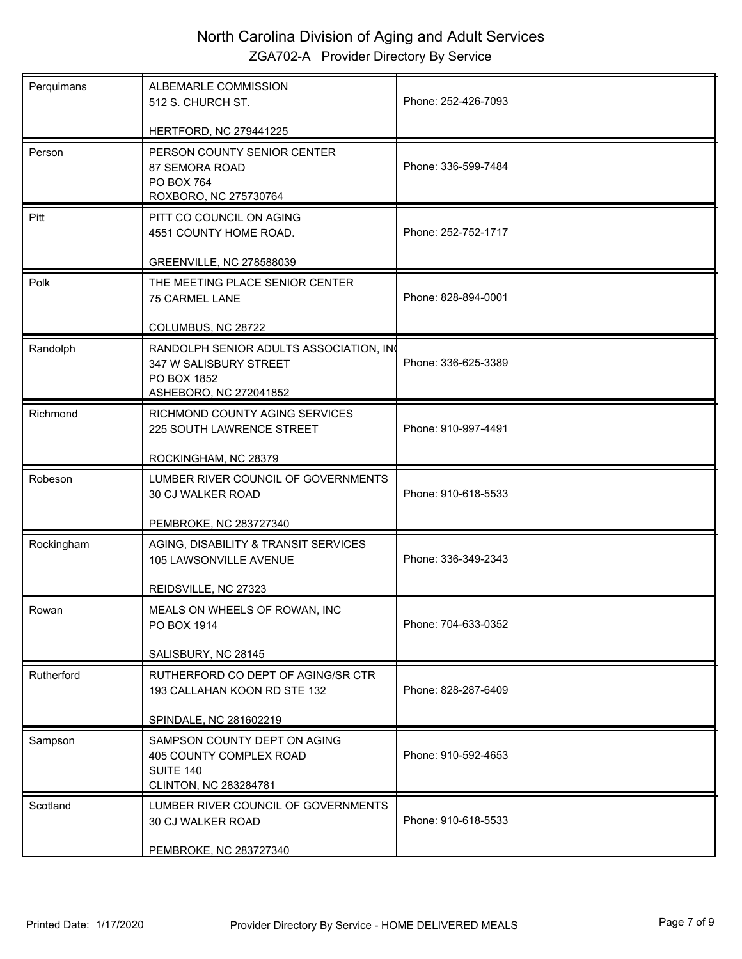| Perquimans | ALBEMARLE COMMISSION<br>512 S. CHURCH ST.                                                                   | Phone: 252-426-7093 |
|------------|-------------------------------------------------------------------------------------------------------------|---------------------|
|            | HERTFORD, NC 279441225                                                                                      |                     |
| Person     | PERSON COUNTY SENIOR CENTER<br>87 SEMORA ROAD<br>PO BOX 764<br>ROXBORO, NC 275730764                        | Phone: 336-599-7484 |
| Pitt       | PITT CO COUNCIL ON AGING<br>4551 COUNTY HOME ROAD.<br>GREENVILLE, NC 278588039                              | Phone: 252-752-1717 |
| Polk       | THE MEETING PLACE SENIOR CENTER<br>75 CARMEL LANE<br>COLUMBUS, NC 28722                                     | Phone: 828-894-0001 |
| Randolph   | RANDOLPH SENIOR ADULTS ASSOCIATION, IN<br>347 W SALISBURY STREET<br>PO BOX 1852<br>ASHEBORO, NC 272041852   | Phone: 336-625-3389 |
| Richmond   | RICHMOND COUNTY AGING SERVICES<br>225 SOUTH LAWRENCE STREET<br>ROCKINGHAM, NC 28379                         | Phone: 910-997-4491 |
| Robeson    | LUMBER RIVER COUNCIL OF GOVERNMENTS<br>30 CJ WALKER ROAD<br>PEMBROKE, NC 283727340                          | Phone: 910-618-5533 |
| Rockingham | AGING, DISABILITY & TRANSIT SERVICES<br>105 LAWSONVILLE AVENUE<br>REIDSVILLE, NC 27323                      | Phone: 336-349-2343 |
| Rowan      | MEALS ON WHEELS OF ROWAN, INC<br>PO BOX 1914<br>SALISBURY, NC 28145                                         | Phone: 704-633-0352 |
| Rutherford | RUTHERFORD CO DEPT OF AGING/SR CTR<br>193 CALLAHAN KOON RD STE 132<br>SPINDALE, NC 281602219                | Phone: 828-287-6409 |
| Sampson    | SAMPSON COUNTY DEPT ON AGING<br>405 COUNTY COMPLEX ROAD<br><b>SUITE 140</b><br><b>CLINTON, NC 283284781</b> | Phone: 910-592-4653 |
| Scotland   | LUMBER RIVER COUNCIL OF GOVERNMENTS<br><b>30 CJ WALKER ROAD</b><br>PEMBROKE, NC 283727340                   | Phone: 910-618-5533 |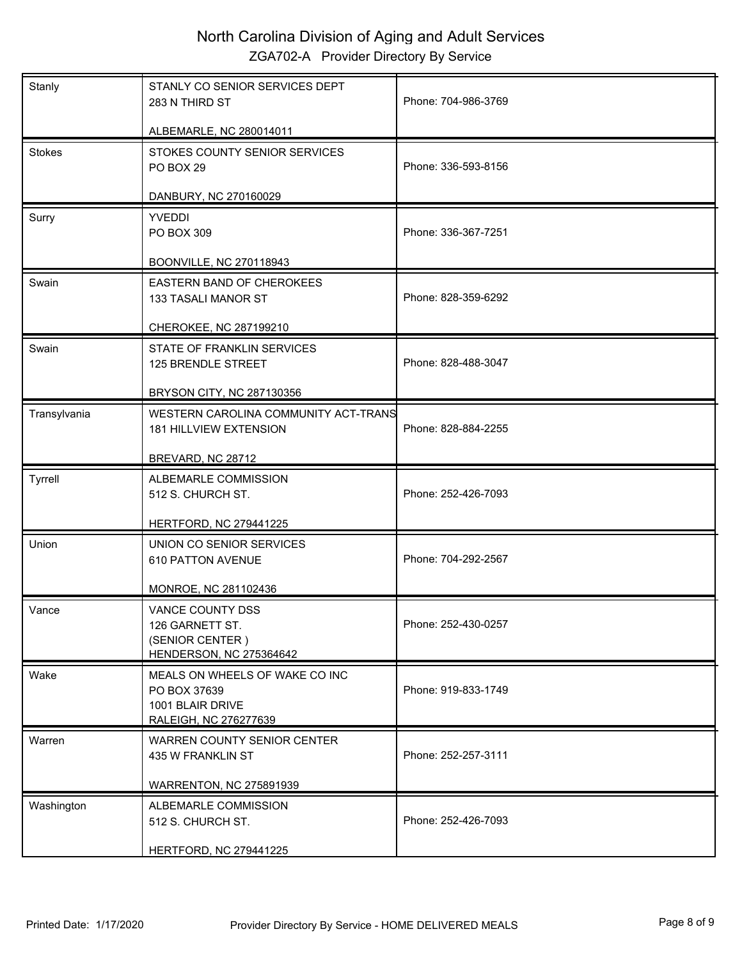| Stanly        | STANLY CO SENIOR SERVICES DEPT<br>283 N THIRD ST                                            | Phone: 704-986-3769 |
|---------------|---------------------------------------------------------------------------------------------|---------------------|
|               | ALBEMARLE, NC 280014011                                                                     |                     |
| <b>Stokes</b> | STOKES COUNTY SENIOR SERVICES<br>PO BOX 29                                                  | Phone: 336-593-8156 |
|               | DANBURY, NC 270160029                                                                       |                     |
| Surry         | <b>YVEDDI</b><br>PO BOX 309                                                                 | Phone: 336-367-7251 |
|               | <b>BOONVILLE, NC 270118943</b>                                                              |                     |
| Swain         | EASTERN BAND OF CHEROKEES<br>133 TASALI MANOR ST                                            | Phone: 828-359-6292 |
|               | CHEROKEE, NC 287199210                                                                      |                     |
| Swain         | STATE OF FRANKLIN SERVICES<br>125 BRENDLE STREET                                            | Phone: 828-488-3047 |
|               | BRYSON CITY, NC 287130356                                                                   |                     |
| Transylvania  | WESTERN CAROLINA COMMUNITY ACT-TRANS<br>181 HILLVIEW EXTENSION                              | Phone: 828-884-2255 |
|               | BREVARD, NC 28712                                                                           |                     |
| Tyrrell       | ALBEMARLE COMMISSION<br>512 S. CHURCH ST.                                                   | Phone: 252-426-7093 |
|               | <b>HERTFORD, NC 279441225</b>                                                               |                     |
| Union         | UNION CO SENIOR SERVICES<br>610 PATTON AVENUE                                               | Phone: 704-292-2567 |
|               | MONROE, NC 281102436                                                                        |                     |
| Vance         | VANCE COUNTY DSS<br>126 GARNETT ST.<br>(SENIOR CENTER)<br>HENDERSON, NC 275364642           | Phone: 252-430-0257 |
| Wake          | MEALS ON WHEELS OF WAKE CO INC<br>PO BOX 37639<br>1001 BLAIR DRIVE<br>RALEIGH, NC 276277639 | Phone: 919-833-1749 |
| Warren        | WARREN COUNTY SENIOR CENTER<br>435 W FRANKLIN ST                                            | Phone: 252-257-3111 |
|               | WARRENTON, NC 275891939                                                                     |                     |
| Washington    | ALBEMARLE COMMISSION<br>512 S. CHURCH ST.                                                   | Phone: 252-426-7093 |
|               | <b>HERTFORD, NC 279441225</b>                                                               |                     |